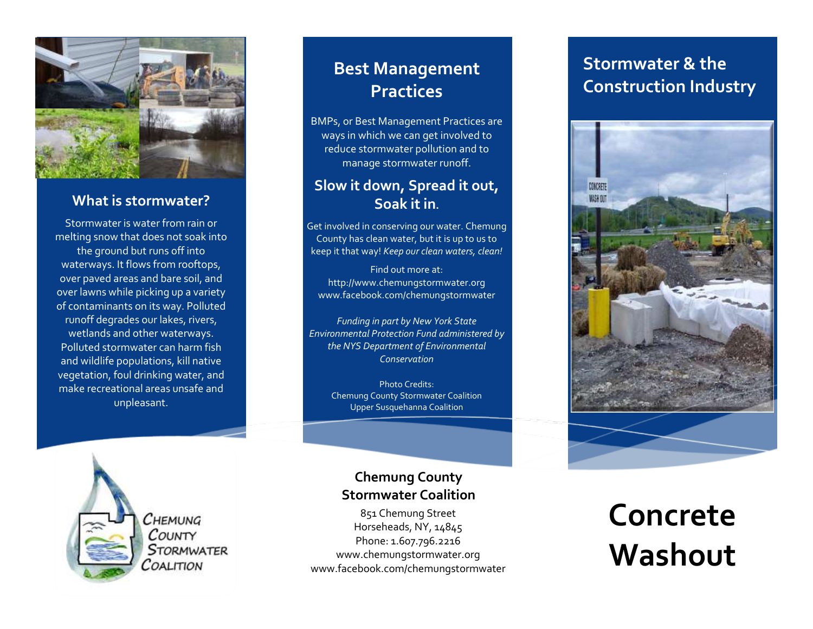

### **What is stormwater?**

Stormwater is water from rain or melting snow that does not soak into the ground but runs off into waterways. It flows from rooftops, over paved areas and bare soil, and over lawns while picking up a variety of contaminants on its way. Polluted runoff degrades our lakes, rivers, wetlands and other waterways. Polluted stormwater can harm fish and wildlife populations, kill native vegetation, foul drinking water, and make recreational areas unsafe and unpleasant.

## **Best Management Practices**

BMPs, or Best Management Practices are ways in which we can get involved to reduce stormwater pollution and to manage stormwater runoff.

### **Slow it down, Spread it out, Soak it in.**

Get involved in conserving our water. Chemung County has clean water, but it is up to us to keep it that way! *Keep our clean waters, clean!*

Find out more at: http://www.chemungstormwater.org www.facebook.com/chemungstormwater

*Funding in part by New York State Environmental Protection Fund administered by the NYS Department of Environmental Conservation*

Photo Credits: Chemung County Stormwater Coalition Upper Susquehanna Coalition

Снемима COUNTY **STORMWATER** COALITION

### **Chemung County Stormwater Coalition**

851 Chemung Street Horseheads, NY, 14845 Phone: 1.607.796.2216 www.chemungstormwater.org www.facebook.com/chemungstormwater

## **Stormwater & the Construction Industry**



## **Concrete Washout**